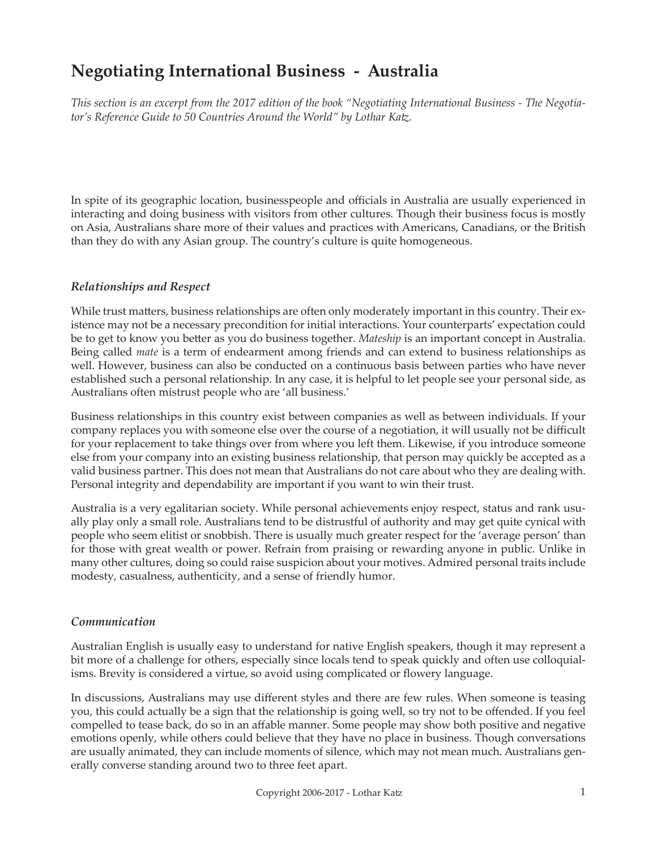# **Negotiating International Business - Australia**

*This section is an excerpt from the 2017 edition of the book "Negotiating International Business - The Negotiator's Reference Guide to 50 Countries Around the World" by Lothar Katz.*

In spite of its geographic location, businesspeople and officials in Australia are usually experienced in interacting and doing business with visitors from other cultures. Though their business focus is mostly on Asia, Australians share more of their values and practices with Americans, Canadians, or the British than they do with any Asian group. The country's culture is quite homogeneous.

### *Relationships and Respect*

While trust matters, business relationships are often only moderately important in this country. Their existence may not be a necessary precondition for initial interactions. Your counterparts' expectation could be to get to know you better as you do business together. *Mateship* is an important concept in Australia. Being called *mate* is a term of endearment among friends and can extend to business relationships as well. However, business can also be conducted on a continuous basis between parties who have never established such a personal relationship. In any case, it is helpful to let people see your personal side, as Australians often mistrust people who are 'all business.'

Business relationships in this country exist between companies as well as between individuals. If your company replaces you with someone else over the course of a negotiation, it will usually not be difficult for your replacement to take things over from where you left them. Likewise, if you introduce someone else from your company into an existing business relationship, that person may quickly be accepted as a valid business partner. This does not mean that Australians do not care about who they are dealing with. Personal integrity and dependability are important if you want to win their trust.

Australia is a very egalitarian society. While personal achievements enjoy respect, status and rank usually play only a small role. Australians tend to be distrustful of authority and may get quite cynical with people who seem elitist or snobbish. There is usually much greater respect for the 'average person' than for those with great wealth or power. Refrain from praising or rewarding anyone in public. Unlike in many other cultures, doing so could raise suspicion about your motives. Admired personal traits include modesty, casualness, authenticity, and a sense of friendly humor.

### *Communication*

Australian English is usually easy to understand for native English speakers, though it may represent a bit more of a challenge for others, especially since locals tend to speak quickly and often use colloquialisms. Brevity is considered a virtue, so avoid using complicated or flowery language.

In discussions, Australians may use different styles and there are few rules. When someone is teasing you, this could actually be a sign that the relationship is going well, so try not to be offended. If you feel compelled to tease back, do so in an affable manner. Some people may show both positive and negative emotions openly, while others could believe that they have no place in business. Though conversations are usually animated, they can include moments of silence, which may not mean much. Australians generally converse standing around two to three feet apart.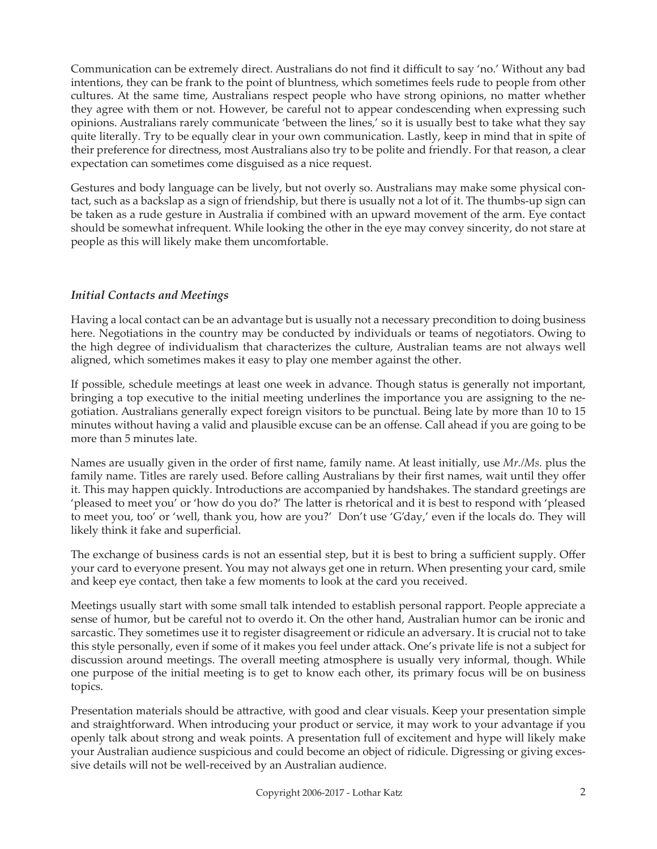Communication can be extremely direct. Australians do not find it difficult to say 'no.' Without any bad intentions, they can be frank to the point of bluntness, which sometimes feels rude to people from other cultures. At the same time, Australians respect people who have strong opinions, no matter whether they agree with them or not. However, be careful not to appear condescending when expressing such opinions. Australians rarely communicate 'between the lines,' so it is usually best to take what they say quite literally. Try to be equally clear in your own communication. Lastly, keep in mind that in spite of their preference for directness, most Australians also try to be polite and friendly. For that reason, a clear expectation can sometimes come disguised as a nice request.

Gestures and body language can be lively, but not overly so. Australians may make some physical contact, such as a backslap as a sign of friendship, but there is usually not a lot of it. The thumbs-up sign can be taken as a rude gesture in Australia if combined with an upward movement of the arm. Eye contact should be somewhat infrequent. While looking the other in the eye may convey sincerity, do not stare at people as this will likely make them uncomfortable.

## *Initial Contacts and Meetings*

Having a local contact can be an advantage but is usually not a necessary precondition to doing business here. Negotiations in the country may be conducted by individuals or teams of negotiators. Owing to the high degree of individualism that characterizes the culture, Australian teams are not always well aligned, which sometimes makes it easy to play one member against the other.

If possible, schedule meetings at least one week in advance. Though status is generally not important, bringing a top executive to the initial meeting underlines the importance you are assigning to the negotiation. Australians generally expect foreign visitors to be punctual. Being late by more than 10 to 15 minutes without having a valid and plausible excuse can be an offense. Call ahead if you are going to be more than 5 minutes late.

Names are usually given in the order of first name, family name. At least initially, use *Mr./Ms.* plus the family name. Titles are rarely used. Before calling Australians by their first names, wait until they offer it. This may happen quickly. Introductions are accompanied by handshakes. The standard greetings are 'pleased to meet you' or 'how do you do?' The latter is rhetorical and it is best to respond with 'pleased to meet you, too' or 'well, thank you, how are you?' Don't use 'G'day,' even if the locals do. They will likely think it fake and superficial.

The exchange of business cards is not an essential step, but it is best to bring a sufficient supply. Offer your card to everyone present. You may not always get one in return. When presenting your card, smile and keep eye contact, then take a few moments to look at the card you received.

Meetings usually start with some small talk intended to establish personal rapport. People appreciate a sense of humor, but be careful not to overdo it. On the other hand, Australian humor can be ironic and sarcastic. They sometimes use it to register disagreement or ridicule an adversary. It is crucial not to take this style personally, even if some of it makes you feel under attack. One's private life is not a subject for discussion around meetings. The overall meeting atmosphere is usually very informal, though. While one purpose of the initial meeting is to get to know each other, its primary focus will be on business topics.

Presentation materials should be attractive, with good and clear visuals. Keep your presentation simple and straightforward. When introducing your product or service, it may work to your advantage if you openly talk about strong and weak points. A presentation full of excitement and hype will likely make your Australian audience suspicious and could become an object of ridicule. Digressing or giving excessive details will not be well-received by an Australian audience.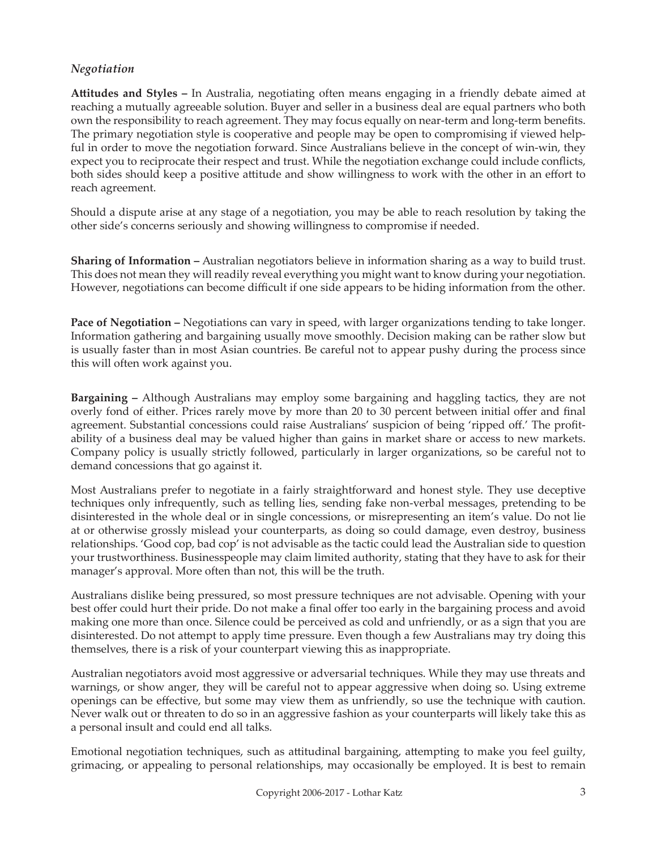### *Negotiation*

**Attitudes and Styles –** In Australia, negotiating often means engaging in a friendly debate aimed at reaching a mutually agreeable solution. Buyer and seller in a business deal are equal partners who both own the responsibility to reach agreement. They may focus equally on near-term and long-term benefits. The primary negotiation style is cooperative and people may be open to compromising if viewed helpful in order to move the negotiation forward. Since Australians believe in the concept of win-win, they expect you to reciprocate their respect and trust. While the negotiation exchange could include conflicts, both sides should keep a positive attitude and show willingness to work with the other in an effort to reach agreement.

Should a dispute arise at any stage of a negotiation, you may be able to reach resolution by taking the other side's concerns seriously and showing willingness to compromise if needed.

**Sharing of Information –** Australian negotiators believe in information sharing as a way to build trust. This does not mean they will readily reveal everything you might want to know during your negotiation. However, negotiations can become difficult if one side appears to be hiding information from the other.

**Pace of Negotiation –** Negotiations can vary in speed, with larger organizations tending to take longer. Information gathering and bargaining usually move smoothly. Decision making can be rather slow but is usually faster than in most Asian countries. Be careful not to appear pushy during the process since this will often work against you.

**Bargaining –** Although Australians may employ some bargaining and haggling tactics, they are not overly fond of either. Prices rarely move by more than 20 to 30 percent between initial offer and final agreement. Substantial concessions could raise Australians' suspicion of being 'ripped off.' The profitability of a business deal may be valued higher than gains in market share or access to new markets. Company policy is usually strictly followed, particularly in larger organizations, so be careful not to demand concessions that go against it.

Most Australians prefer to negotiate in a fairly straightforward and honest style. They use deceptive techniques only infrequently, such as telling lies, sending fake non-verbal messages, pretending to be disinterested in the whole deal or in single concessions, or misrepresenting an item's value. Do not lie at or otherwise grossly mislead your counterparts, as doing so could damage, even destroy, business relationships. 'Good cop, bad cop' is not advisable as the tactic could lead the Australian side to question your trustworthiness. Businesspeople may claim limited authority, stating that they have to ask for their manager's approval. More often than not, this will be the truth.

Australians dislike being pressured, so most pressure techniques are not advisable. Opening with your best offer could hurt their pride. Do not make a final offer too early in the bargaining process and avoid making one more than once. Silence could be perceived as cold and unfriendly, or as a sign that you are disinterested. Do not attempt to apply time pressure. Even though a few Australians may try doing this themselves, there is a risk of your counterpart viewing this as inappropriate.

Australian negotiators avoid most aggressive or adversarial techniques. While they may use threats and warnings, or show anger, they will be careful not to appear aggressive when doing so. Using extreme openings can be effective, but some may view them as unfriendly, so use the technique with caution. Never walk out or threaten to do so in an aggressive fashion as your counterparts will likely take this as a personal insult and could end all talks.

Emotional negotiation techniques, such as attitudinal bargaining, attempting to make you feel guilty, grimacing, or appealing to personal relationships, may occasionally be employed. It is best to remain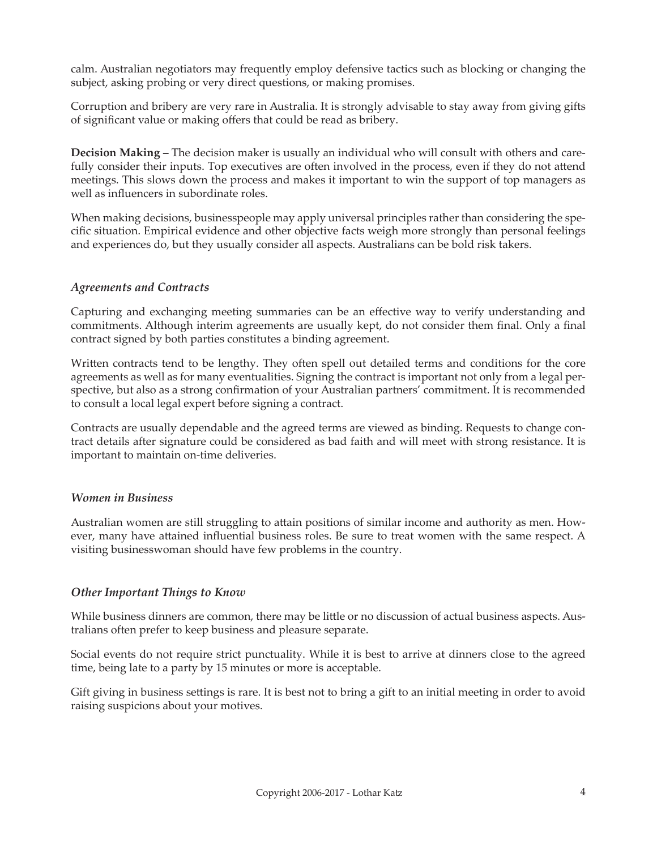calm. Australian negotiators may frequently employ defensive tactics such as blocking or changing the subject, asking probing or very direct questions, or making promises.

Corruption and bribery are very rare in Australia. It is strongly advisable to stay away from giving gifts of significant value or making offers that could be read as bribery.

**Decision Making –** The decision maker is usually an individual who will consult with others and carefully consider their inputs. Top executives are often involved in the process, even if they do not attend meetings. This slows down the process and makes it important to win the support of top managers as well as influencers in subordinate roles.

When making decisions, businesspeople may apply universal principles rather than considering the specific situation. Empirical evidence and other objective facts weigh more strongly than personal feelings and experiences do, but they usually consider all aspects. Australians can be bold risk takers.

### *Agreements and Contracts*

Capturing and exchanging meeting summaries can be an effective way to verify understanding and commitments. Although interim agreements are usually kept, do not consider them final. Only a final contract signed by both parties constitutes a binding agreement.

Written contracts tend to be lengthy. They often spell out detailed terms and conditions for the core agreements as well as for many eventualities. Signing the contract is important not only from a legal perspective, but also as a strong confirmation of your Australian partners' commitment. It is recommended to consult a local legal expert before signing a contract.

Contracts are usually dependable and the agreed terms are viewed as binding. Requests to change contract details after signature could be considered as bad faith and will meet with strong resistance. It is important to maintain on-time deliveries.

#### *Women in Business*

Australian women are still struggling to attain positions of similar income and authority as men. However, many have attained influential business roles. Be sure to treat women with the same respect. A visiting businesswoman should have few problems in the country.

### *Other Important Things to Know*

While business dinners are common, there may be little or no discussion of actual business aspects. Australians often prefer to keep business and pleasure separate.

Social events do not require strict punctuality. While it is best to arrive at dinners close to the agreed time, being late to a party by 15 minutes or more is acceptable.

Gift giving in business settings is rare. It is best not to bring a gift to an initial meeting in order to avoid raising suspicions about your motives.